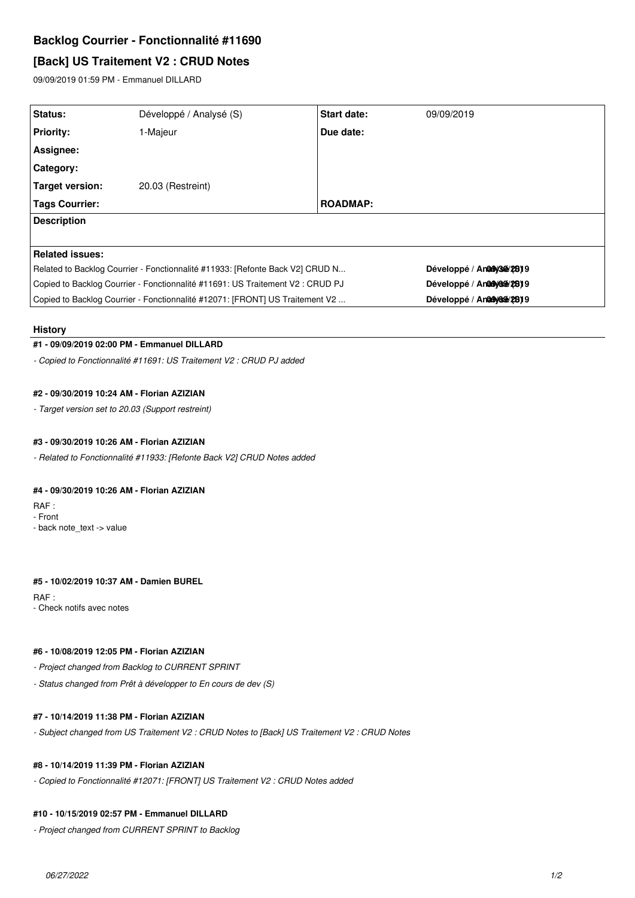# **Backlog Courrier - Fonctionnalité #11690**

# **[Back] US Traitement V2 : CRUD Notes**

09/09/2019 01:59 PM - Emmanuel DILLARD

| Status:                                                                        | Développé / Analysé (S) | <b>Start date:</b> | 09/09/2019                 |
|--------------------------------------------------------------------------------|-------------------------|--------------------|----------------------------|
| <b>Priority:</b>                                                               | 1-Majeur                | Due date:          |                            |
| Assignee:                                                                      |                         |                    |                            |
| Category:                                                                      |                         |                    |                            |
| Target version:                                                                | 20.03 (Restreint)       |                    |                            |
| <b>Tags Courrier:</b>                                                          |                         | <b>ROADMAP:</b>    |                            |
| Description                                                                    |                         |                    |                            |
|                                                                                |                         |                    |                            |
| <b>Related issues:</b>                                                         |                         |                    |                            |
| Related to Backlog Courrier - Fonctionnalité #11933: [Refonte Back V2] CRUD N  |                         |                    | Développé / Analysa/2819   |
| Copied to Backlog Courrier - Fonctionnalité #11691: US Traitement V2 : CRUD PJ |                         |                    | Développé / Analayosa/2819 |
| Copied to Backlog Courrier - Fonctionnalité #12071: [FRONT] US Traitement V2   |                         |                    | Développé / Analyone/2819  |

#### **History**

#### **#1 - 09/09/2019 02:00 PM - Emmanuel DILLARD**

*- Copied to Fonctionnalité #11691: US Traitement V2 : CRUD PJ added*

## **#2 - 09/30/2019 10:24 AM - Florian AZIZIAN**

*- Target version set to 20.03 (Support restreint)*

## **#3 - 09/30/2019 10:26 AM - Florian AZIZIAN**

*- Related to Fonctionnalité #11933: [Refonte Back V2] CRUD Notes added*

#### **#4 - 09/30/2019 10:26 AM - Florian AZIZIAN**

RAF : - Front - back note\_text -> value

#### **#5 - 10/02/2019 10:37 AM - Damien BUREL**

RAF :

- Check notifs avec notes

## **#6 - 10/08/2019 12:05 PM - Florian AZIZIAN**

*- Project changed from Backlog to CURRENT SPRINT*

*- Status changed from Prêt à développer to En cours de dev (S)*

#### **#7 - 10/14/2019 11:38 PM - Florian AZIZIAN**

*- Subject changed from US Traitement V2 : CRUD Notes to [Back] US Traitement V2 : CRUD Notes*

## **#8 - 10/14/2019 11:39 PM - Florian AZIZIAN**

*- Copied to Fonctionnalité #12071: [FRONT] US Traitement V2 : CRUD Notes added*

#### **#10 - 10/15/2019 02:57 PM - Emmanuel DILLARD**

*- Project changed from CURRENT SPRINT to Backlog*